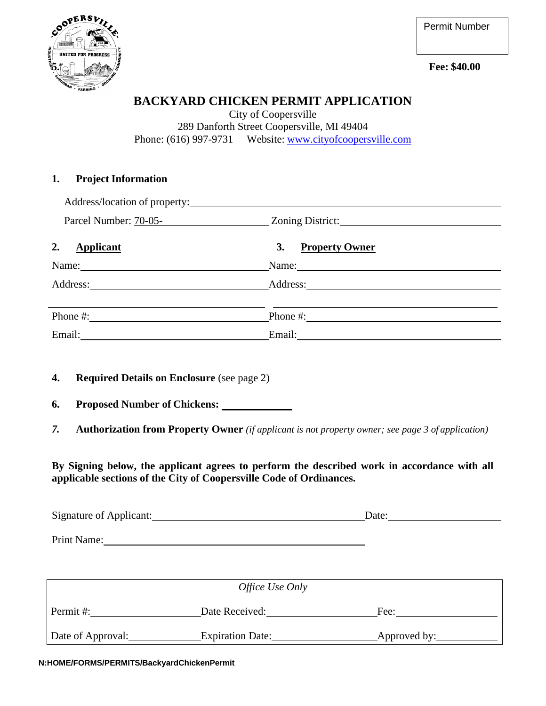



## **BACKYARD CHICKEN PERMIT APPLICATION**

City of Coopersville 289 Danforth Street Coopersville, MI 49404 Phone: (616) 997-9731 Website: [www.cityofcoopersville.com](http://www.cityofcoopersville.com/)

### **1. Project Information**

| Address/location of property: |                                                                                                                                                                                                                                |  |
|-------------------------------|--------------------------------------------------------------------------------------------------------------------------------------------------------------------------------------------------------------------------------|--|
| Parcel Number: 70-05-         | Zoning District:                                                                                                                                                                                                               |  |
| 2.<br><b>Applicant</b>        | <b>Property Owner</b><br>3.                                                                                                                                                                                                    |  |
| Name:                         | Name:                                                                                                                                                                                                                          |  |
| Address:                      | Address: 2008. And the same state of the state of the state of the state of the state of the state of the state of the state of the state of the state of the state of the state of the state of the state of the state of the |  |
| Phone #:                      | Phone #:                                                                                                                                                                                                                       |  |
| Email:                        | Email:                                                                                                                                                                                                                         |  |

- **4. Required Details on Enclosure** (see page 2)
- **6. Proposed Number of Chickens:**
- *7.* **Authorization from Property Owner** *(if applicant is not property owner; see page 3 of application)*

**By Signing below, the applicant agrees to perform the described work in accordance with all applicable sections of the City of Coopersville Code of Ordinances.** 

| Signature of Applicant: | Date <sup>.</sup> |  |
|-------------------------|-------------------|--|
|                         |                   |  |

Print Name:

| Office Use Only   |                         |              |  |  |
|-------------------|-------------------------|--------------|--|--|
| Permit #:         | Date Received:          | Fee:         |  |  |
| Date of Approval: | <b>Expiration Date:</b> | Approved by: |  |  |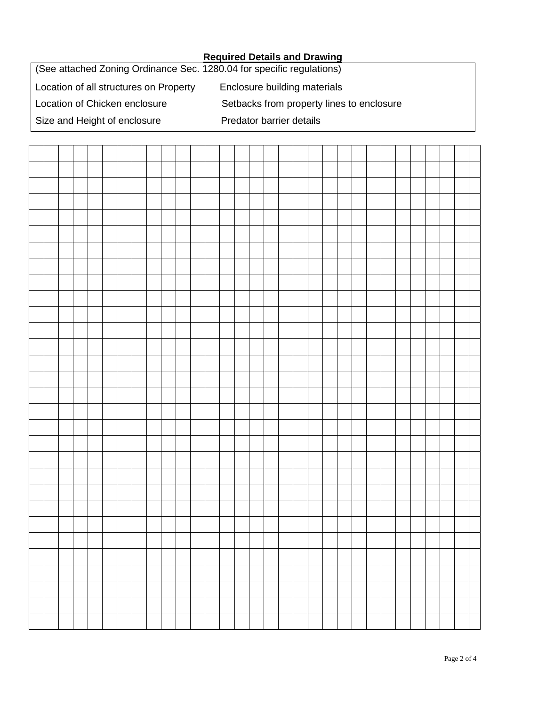#### **Required Details and Drawing**

(See attached Zoning Ordinance Sec. 1280.04 for specific regulations) Location of all structures on Property Enclosure building materials Location of Chicken enclosure Setbacks from property lines to enclosure Size and Height of enclosure Predator barrier details

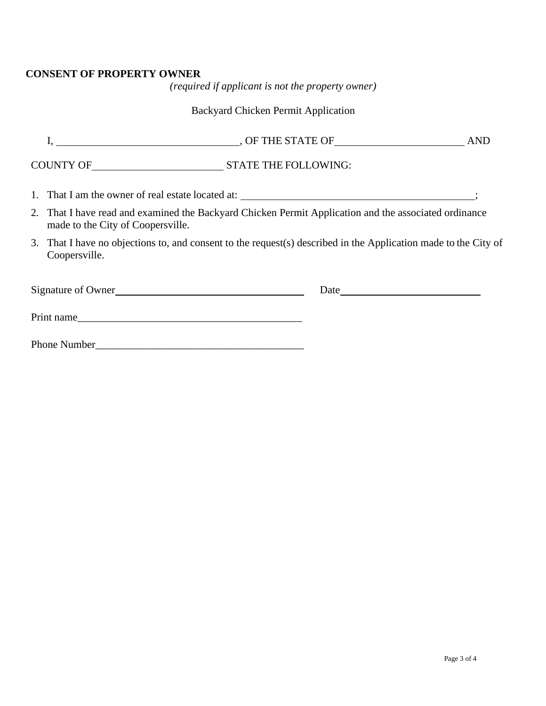### **CONSENT OF PROPERTY OWNER**

*(required if applicant is not the property owner)*

# Backyard Chicken Permit Application

| 2. That I have read and examined the Backyard Chicken Permit Application and the associated ordinance<br>made to the City of Coopersville. |  |  |  |
|--------------------------------------------------------------------------------------------------------------------------------------------|--|--|--|
| 3. That I have no objections to, and consent to the request(s) described in the Application made to the City of<br>Coopersville.           |  |  |  |
| Signature of Owner                                                                                                                         |  |  |  |
| Print name                                                                                                                                 |  |  |  |
|                                                                                                                                            |  |  |  |